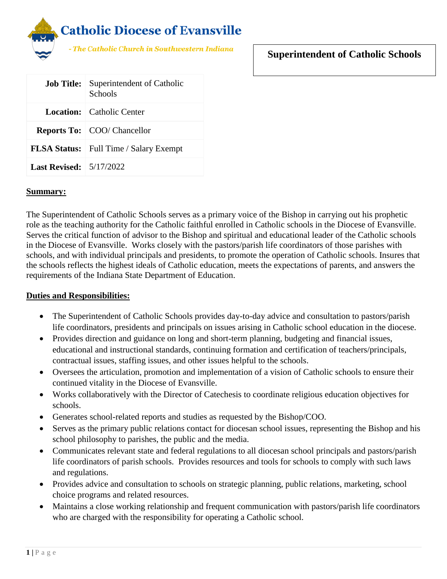

# **Superintendent of Catholic Schools**

| <b>Job Title:</b>                 | Superintendent of Catholic<br>Schools         |
|-----------------------------------|-----------------------------------------------|
|                                   | <b>Location:</b> Catholic Center              |
|                                   | <b>Reports To:</b> COO/ Chancellor            |
|                                   | <b>FLSA Status:</b> Full Time / Salary Exempt |
| Last Revised: $\frac{5}{17/2022}$ |                                               |

#### **Summary:**

The Superintendent of Catholic Schools serves as a primary voice of the Bishop in carrying out his prophetic role as the teaching authority for the Catholic faithful enrolled in Catholic schools in the Diocese of Evansville. Serves the critical function of advisor to the Bishop and spiritual and educational leader of the Catholic schools in the Diocese of Evansville. Works closely with the pastors/parish life coordinators of those parishes with schools, and with individual principals and presidents, to promote the operation of Catholic schools. Insures that the schools reflects the highest ideals of Catholic education, meets the expectations of parents, and answers the requirements of the Indiana State Department of Education.

### **Duties and Responsibilities:**

- The Superintendent of Catholic Schools provides day-to-day advice and consultation to pastors/parish life coordinators, presidents and principals on issues arising in Catholic school education in the diocese.
- Provides direction and guidance on long and short-term planning, budgeting and financial issues, educational and instructional standards, continuing formation and certification of teachers/principals, contractual issues, staffing issues, and other issues helpful to the schools.
- Oversees the articulation, promotion and implementation of a vision of Catholic schools to ensure their continued vitality in the Diocese of Evansville.
- Works collaboratively with the Director of Catechesis to coordinate religious education objectives for schools.
- Generates school-related reports and studies as requested by the Bishop/COO.
- Serves as the primary public relations contact for diocesan school issues, representing the Bishop and his school philosophy to parishes, the public and the media.
- Communicates relevant state and federal regulations to all diocesan school principals and pastors/parish life coordinators of parish schools. Provides resources and tools for schools to comply with such laws and regulations.
- Provides advice and consultation to schools on strategic planning, public relations, marketing, school choice programs and related resources.
- Maintains a close working relationship and frequent communication with pastors/parish life coordinators who are charged with the responsibility for operating a Catholic school.